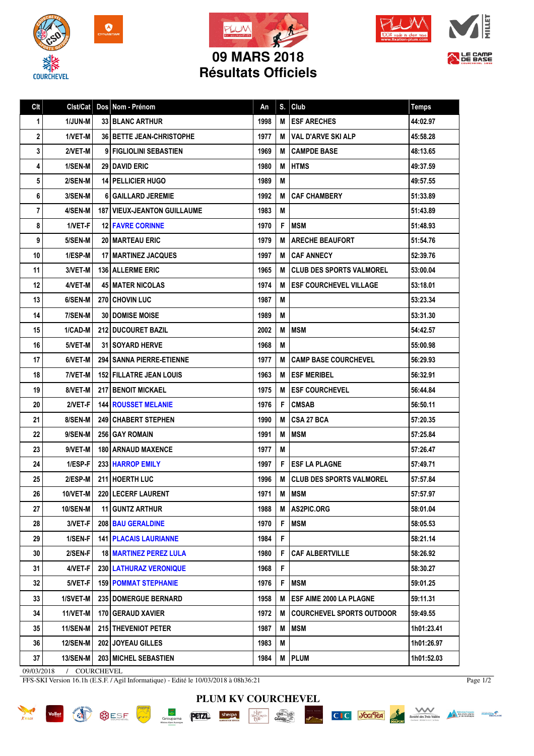







LE CAMP

## **Résultats Officiels**

| Clt | Clst/Cat        |   | Dos Nom - Prénom                     | An   | S. | Club                             | <b>Temps</b> |
|-----|-----------------|---|--------------------------------------|------|----|----------------------------------|--------------|
| 1   | 1/JUN-M         |   | <b>33 BLANC ARTHUR</b>               | 1998 | M  | <b>ESF ARECHES</b>               | 44:02.97     |
| 2   | 1/VET-M         |   | <b>36   BETTE JEAN-CHRISTOPHE</b>    | 1977 | M  | <b>VAL D'ARVE SKI ALP</b>        | 45:58.28     |
| 3   | 2/VET-M         | 9 | FIGLIOLINI SEBASTIEN                 | 1969 | M  | <b>CAMPDE BASE</b>               | 48:13.65     |
| 4   | 1/SEN-M         |   | <b>29 I DAVID ERIC</b>               | 1980 | M  | <b>HTMS</b>                      | 49:37.59     |
| 5   | 2/SEN-M         |   | <b>14   PELLICIER HUGO</b>           | 1989 | M  |                                  | 49:57.55     |
| 6   | 3/SEN-M         |   | <b>6 GAILLARD JEREMIE</b>            | 1992 | М  | <b>CAF CHAMBERY</b>              | 51:33.89     |
| 7   | 4/SEN-M         |   | <b>187   VIEUX-JEANTON GUILLAUME</b> | 1983 | M  |                                  | 51:43.89     |
| 8   | 1/VET-F         |   | <b>12 FAVRE CORINNE</b>              | 1970 | F  | <b>MSM</b>                       | 51:48.93     |
| 9   | 5/SEN-M         |   | <b>20 I MARTEAU ERIC</b>             | 1979 | M  | <b>ARECHE BEAUFORT</b>           | 51:54.76     |
| 10  | 1/ESP-M         |   | <b>17   MARTINEZ JACQUES</b>         | 1997 | M  | <b>CAF ANNECY</b>                | 52:39.76     |
| 11  | 3/VET-M         |   | <b>136 ALLERME ERIC</b>              | 1965 | M  | <b>CLUB DES SPORTS VALMOREL</b>  | 53:00.04     |
| 12  | 4/VET-M         |   | 45   MATER NICOLAS                   | 1974 | м  | <b>ESF COURCHEVEL VILLAGE</b>    | 53:18.01     |
| 13  | 6/SEN-M         |   | <b>270 CHOVIN LUC</b>                | 1987 | M  |                                  | 53:23.34     |
| 14  | 7/SEN-M         |   | <b>30 I DOMISE MOISE</b>             | 1989 | M  |                                  | 53:31.30     |
| 15  | 1/CAD-M         |   | <b>212 DUCOURET BAZIL</b>            | 2002 | M  | <b>MSM</b>                       | 54:42.57     |
| 16  | 5/VET-M         |   | <b>31 I SOYARD HERVE</b>             | 1968 | M  |                                  | 55:00.98     |
| 17  | 6/VET-M         |   | <b>294 I SANNA PIERRE-ETIENNE</b>    | 1977 | М  | <b>CAMP BASE COURCHEVEL</b>      | 56:29.93     |
| 18  | 7/VET-M         |   | <b>152 FILLATRE JEAN LOUIS</b>       | 1963 | M  | <b>ESF MERIBEL</b>               | 56:32.91     |
| 19  | 8/VET-M         |   | <b>217 BENOIT MICKAEL</b>            | 1975 | M  | <b>ESF COURCHEVEL</b>            | 56:44.84     |
| 20  | 2/VET-F         |   | <b>144 ROUSSET MELANIE</b>           | 1976 | F  | <b>CMSAB</b>                     | 56:50.11     |
| 21  | 8/SEN-M         |   | <b>249 CHABERT STEPHEN</b>           | 1990 | M  | <b>CSA 27 BCA</b>                | 57:20.35     |
| 22  | 9/SEN-M         |   | <b>256 GAY ROMAIN</b>                | 1991 | M  | <b>MSM</b>                       | 57:25.84     |
| 23  | 9/VET-M         |   | 180 ARNAUD MAXENCE                   | 1977 | M  |                                  | 57:26.47     |
| 24  | 1/ESP-F         |   | 233 HARROP EMILY                     | 1997 | F. | <b>ESF LA PLAGNE</b>             | 57:49.71     |
| 25  | 2/ESP-M         |   | 211 HOERTH LUC                       | 1996 | м  | <b>CLUB DES SPORTS VALMOREL</b>  | 57:57.84     |
| 26  | 10/VET-M        |   | 220 LECERF LAURENT                   | 1971 | М  | <b>IMSM</b>                      | 57:57.97     |
| 27  | <b>10/SEN-M</b> |   | 11 GUNTZ ARTHUR                      | 1988 | M  | <b>AS2PIC.ORG</b>                | 58:01.04     |
| 28  | 3/VET-F         |   | 208 BAU GERALDINE                    | 1970 | F  | <b>MSM</b>                       | 58:05.53     |
| 29  | 1/SEN-F         |   | <b>141   PLACAIS LAURIANNE</b>       | 1984 | F  |                                  | 58:21.14     |
| 30  | 2/SEN-F         |   | <b>18 MARTINEZ PEREZ LULA</b>        | 1980 | F  | <b>CAF ALBERTVILLE</b>           | 58:26.92     |
| 31  | 4/VET-F         |   | <b>230   LATHURAZ VERONIQUE</b>      | 1968 | F  |                                  | 58:30.27     |
| 32  | 5/VET-F         |   | <b>159 POMMAT STEPHANIE</b>          | 1976 | F  | <b>MSM</b>                       | 59:01.25     |
| 33  | 1/SVET-M        |   | <b>235 DOMERGUE BERNARD</b>          | 1958 | M  | <b>ESF AIME 2000 LA PLAGNE</b>   | 59:11.31     |
| 34  | 11/VET-M        |   | <b>170 GERAUD XAVIER</b>             | 1972 | M  | <b>COURCHEVEL SPORTS OUTDOOR</b> | 59:49.55     |
| 35  | <b>11/SEN-M</b> |   | 215 THEVENIOT PETER                  | 1987 | M  | MSM                              | 1h01:23.41   |
| 36  | <b>12/SEN-M</b> |   | 202 JOYEAU GILLES                    | 1983 | M  |                                  | 1h01:26.97   |
| 37  | <b>13/SEN-M</b> |   | 203 MICHEL SEBASTIEN                 | 1984 | М  | PLUM                             | 1h01:52.03   |

09/03/2018 / COURCHEVEL

FFS-SKI Version 16.1h (E.S.F. / Agil Informatique) - Edité le 10/03/2018 à 08h36:21

Page 1/2







**PETZL**